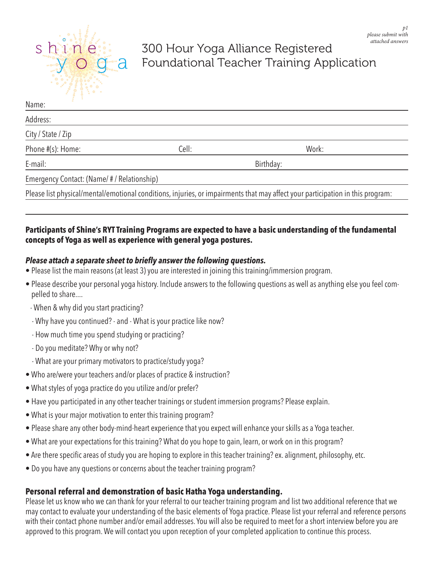

# 300 Hour Yoga Alliance Registered Foundational Teacher Training Application

| Name:                                    |           |                                                                                                                                |  |
|------------------------------------------|-----------|--------------------------------------------------------------------------------------------------------------------------------|--|
| Address:                                 |           |                                                                                                                                |  |
| City / State / Zip                       |           |                                                                                                                                |  |
| Phone #(s): Home:                        | Cell:     | Work:                                                                                                                          |  |
| E-mail:                                  | Birthday: |                                                                                                                                |  |
| Emergency Contact: (Name/#/Relationship) |           |                                                                                                                                |  |
|                                          |           | Please list physical/mental/emotional conditions, injuries, or impairments that may affect your participation in this program: |  |

## **Participants of Shine's RYT Training Programs are expected to have a basic understanding of the fundamental concepts of Yoga as well as experience with general yoga postures.**

## *Please attach a separate sheet to briefly answer the following questions.*

- Please list the main reasons (at least 3) you are interested in joining this training/immersion program.
- Please describe your personal yoga history. Include answers to the following questions as well as anything else you feel compelled to share....
- When & why did you start practicing?
- Why have you continued? and What is your practice like now?
- How much time you spend studying or practicing?
- Do you meditate? Why or why not?
- What are your primary motivators to practice/study yoga?
- Who are/were your teachers and/or places of practice & instruction?
- What styles of yoga practice do you utilize and/or prefer?
- Have you participated in any other teacher trainings or student immersion programs? Please explain.
- What is your major motivation to enter this training program?
- Please share any other body-mind-heart experience that you expect will enhance your skills as a Yoga teacher.
- What are your expectations for this training? What do you hope to gain, learn, or work on in this program?
- Are there specific areas of study you are hoping to explore in this teacher training? ex. alignment, philosophy, etc.
- Do you have any questions or concerns about the teacher training program?

# **Personal referral and demonstration of basic Hatha Yoga understanding.**

Please let us know who we can thank for your referral to our teacher training program and list two additional reference that we may contact to evaluate your understanding of the basic elements of Yoga practice. Please list your referral and reference persons with their contact phone number and/or email addresses. You will also be required to meet for a short interview before you are approved to this program. We will contact you upon reception of your completed application to continue this process.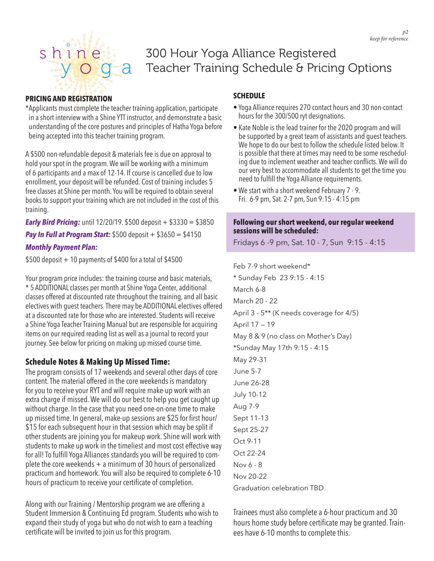

# 300 Hour Yoga Alliance Registered Teacher Training Schedule & Pricing Options

### **PRICING AND REGISTRATION**

\*Applicants must complete the teacher training application, participate in a short interview with a Shine YTT instructor, and demonstrate a basic understanding of the core postures and principles of Hatha Yoga before being accepted into this teacher training program.

A \$500 non-refundable deposit & materials fee is due on approval to hold your spot in the program. We will be working with a minimum of 6 participants and a max of 12-14. If course is cancelled due to low enrollment, your deposit will be refunded. Cost of training includes 5 free classes at Shine per month. You will be required to obtain several books to support your training which are not included in the cost of this training.

*Early Bird Pricing:* until 12/20/19. \$500 deposit + \$3330 = \$3850 **Pay In Full at Program Start:** \$500 deposit + \$3650 = \$4150 *Monthly Payment Plan:* 

 $$500$  deposit  $+10$  payments of \$400 for a total of \$4500

Your program price includes: the training course and basic materials, \* 5 ADDITIONAL classes per month at Shine Yoga Center, additional classes offered at discounted rate throughout the training, and all basic electives with guest teachers. There may be ADDITIONAL electives offered at a discounted rate for those who are interested. Students will receive a Shine Yoga Teacher Training Manual but are responsible for acquiring items on our required reading list as well as a journal to record your journey. See below for pricing on making up missed course time.

### **Schedule Notes & Making Up Missed Time:**

The program consists of 17 weekends and several other days of core content. The material offered in the core weekends is mandatory for you to receive your RYT and will require make-up work with an extra charge if missed. We will do our best to help you get caught up without charge. In the case that you need one-on-one time to make up missed time. In general, make-up sessions are \$25 for first hour/ \$15 for each subsequent hour in that session which may be split if other students are joining you for makeup work. Shine will work with students to make up work in the timeliest and most cost effective way for all! To fulfill Yoga Alliances standards you will be required to complete the core weekends + a minimum of 30 hours of personalized practicum and homework. You will also be required to complete 6-10 hours of practicum to receive your certificate of completion.

Along with our Training / Mentorship program we are offering a Student Immersion & Continuing Ed program. Students who wish to expand their study of yoga but who do not wish to earn a teaching certificate will be invited to join us for this program.

### **SCHEDULE**

- Yoga Alliance requires 270 contact hours and 30 non-contact hours for the 300/500 ryt designations.
- Kate Noble is the lead trainer for the 2020 program and will be supported by a great team of assistants and guest teachers. We hope to do our best to follow the schedule listed below. It is possible that there at times may need to be some rescheduling due to inclement weather and teacher conflicts. We will do our very best to accommodate all students to get the time you need to fulfill the Yoga Alliance requirements.
- We start with a short weekend February 7 9. Fri. 6-9 pm, Sat. 2-7 pm, Sun 9:15 - 4:15 pm

#### **Following our short weekend, our regular weekend sessions will be scheduled:**

Fridays 6 -9 pm, Sat. 10 - 7, Sun 9:15 - 4:15

Feb 7-9 short weekend\* \* Sunday Feb 23 9:15 - 4:15 March 6-8 March 20 - 22 April 3 - 5\*\* (K needs coverage for 4/5) April 17 — 19 May 8 & 9 (no class on Mother's Day) \*Sunday May 17th 9:15 - 4:15 May 29-31 June 5-7 June 26-28 July 10-12 Aug 7-9 Sept 11-13 Sept 25-27 Oct 9-11 Oct 22-24 Nov 6 - 8 Nov 20-22 Graduation celebration TBD

Trainees must also complete a 6-hour practicum and 30 hours home study before certificate may be granted. Trainees have 6-10 months to complete this.